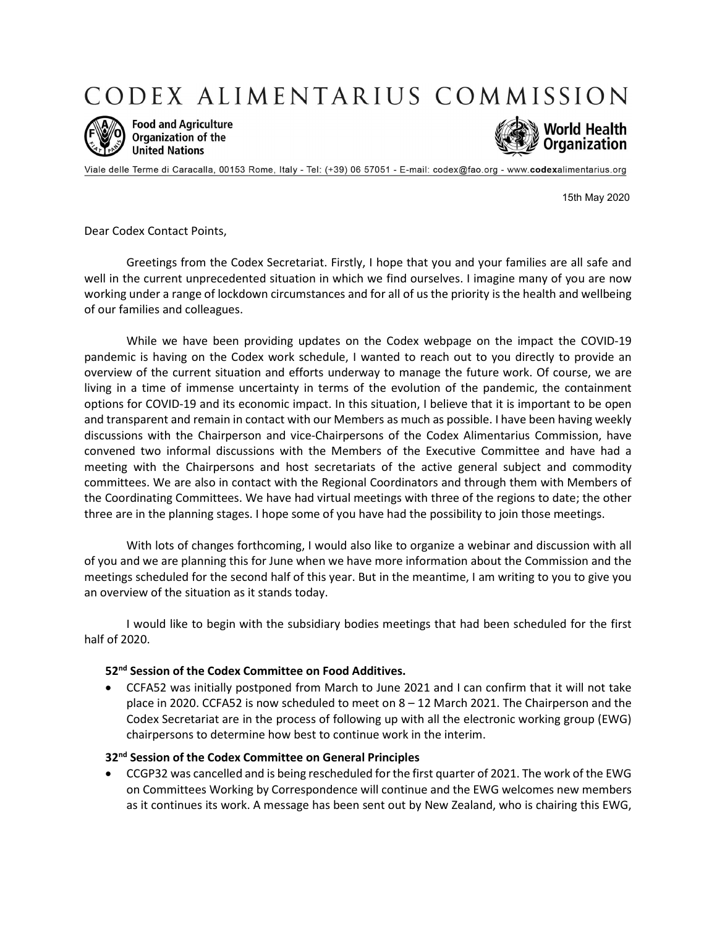CODEX ALIMENTARIUS COMMISSION



**Food and Agriculture Organization of the United Nations** 



Viale delle Terme di Caracalla, 00153 Rome, Italy - Tel: (+39) 06 57051 - E-mail: codex@fao.org - www.codexalimentarius.org

15th May 2020

Dear Codex Contact Points,

Greetings from the Codex Secretariat. Firstly, I hope that you and your families are all safe and well in the current unprecedented situation in which we find ourselves. I imagine many of you are now working under a range of lockdown circumstances and for all of us the priority is the health and wellbeing of our families and colleagues.

While we have been providing updates on the Codex webpage on the impact the COVID-19 pandemic is having on the Codex work schedule, I wanted to reach out to you directly to provide an overview of the current situation and efforts underway to manage the future work. Of course, we are living in a time of immense uncertainty in terms of the evolution of the pandemic, the containment options for COVID-19 and its economic impact. In this situation, I believe that it is important to be open and transparent and remain in contact with our Members as much as possible. I have been having weekly discussions with the Chairperson and vice-Chairpersons of the Codex Alimentarius Commission, have convened two informal discussions with the Members of the Executive Committee and have had a meeting with the Chairpersons and host secretariats of the active general subject and commodity committees. We are also in contact with the Regional Coordinators and through them with Members of the Coordinating Committees. We have had virtual meetings with three of the regions to date; the other three are in the planning stages. I hope some of you have had the possibility to join those meetings.

With lots of changes forthcoming, I would also like to organize a webinar and discussion with all of you and we are planning this for June when we have more information about the Commission and the meetings scheduled for the second half of this year. But in the meantime, I am writing to you to give you an overview of the situation as it stands today.

I would like to begin with the subsidiary bodies meetings that had been scheduled for the first half of 2020.

### 52<sup>nd</sup> Session of the Codex Committee on Food Additives.

 CCFA52 was initially postponed from March to June 2021 and I can confirm that it will not take place in 2020. CCFA52 is now scheduled to meet on  $8 - 12$  March 2021. The Chairperson and the Codex Secretariat are in the process of following up with all the electronic working group (EWG) chairpersons to determine how best to continue work in the interim.

### 32<sup>nd</sup> Session of the Codex Committee on General Principles

 CCGP32 was cancelled and is being rescheduled for the first quarter of 2021. The work of the EWG on Committees Working by Correspondence will continue and the EWG welcomes new members as it continues its work. A message has been sent out by New Zealand, who is chairing this EWG,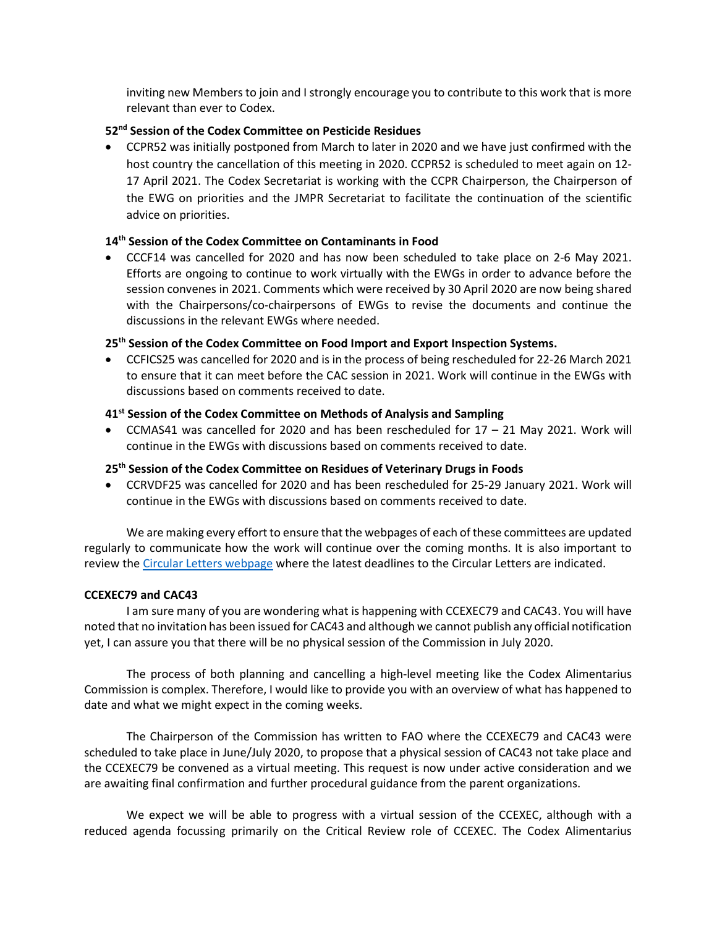inviting new Members to join and I strongly encourage you to contribute to this work that is more relevant than ever to Codex.

# 52<sup>nd</sup> Session of the Codex Committee on Pesticide Residues

 CCPR52 was initially postponed from March to later in 2020 and we have just confirmed with the host country the cancellation of this meeting in 2020. CCPR52 is scheduled to meet again on 12- 17 April 2021. The Codex Secretariat is working with the CCPR Chairperson, the Chairperson of the EWG on priorities and the JMPR Secretariat to facilitate the continuation of the scientific advice on priorities.

# 14<sup>th</sup> Session of the Codex Committee on Contaminants in Food

 CCCF14 was cancelled for 2020 and has now been scheduled to take place on 2-6 May 2021. Efforts are ongoing to continue to work virtually with the EWGs in order to advance before the session convenes in 2021. Comments which were received by 30 April 2020 are now being shared with the Chairpersons/co-chairpersons of EWGs to revise the documents and continue the discussions in the relevant EWGs where needed.

## 25<sup>th</sup> Session of the Codex Committee on Food Import and Export Inspection Systems.

 CCFICS25 was cancelled for 2020 and is in the process of being rescheduled for 22-26 March 2021 to ensure that it can meet before the CAC session in 2021. Work will continue in the EWGs with discussions based on comments received to date.

## 41<sup>st</sup> Session of the Codex Committee on Methods of Analysis and Sampling

 CCMAS41 was cancelled for 2020 and has been rescheduled for 17 – 21 May 2021. Work will continue in the EWGs with discussions based on comments received to date.

## 25<sup>th</sup> Session of the Codex Committee on Residues of Veterinary Drugs in Foods

 CCRVDF25 was cancelled for 2020 and has been rescheduled for 25-29 January 2021. Work will continue in the EWGs with discussions based on comments received to date.

We are making every effort to ensure that the webpages of each of these committees are updated regularly to communicate how the work will continue over the coming months. It is also important to review the Circular Letters webpage where the latest deadlines to the Circular Letters are indicated.

### CCEXEC79 and CAC43

I am sure many of you are wondering what is happening with CCEXEC79 and CAC43. You will have noted that no invitation has been issued for CAC43 and although we cannot publish any official notification yet, I can assure you that there will be no physical session of the Commission in July 2020.

The process of both planning and cancelling a high-level meeting like the Codex Alimentarius Commission is complex. Therefore, I would like to provide you with an overview of what has happened to date and what we might expect in the coming weeks.

The Chairperson of the Commission has written to FAO where the CCEXEC79 and CAC43 were scheduled to take place in June/July 2020, to propose that a physical session of CAC43 not take place and the CCEXEC79 be convened as a virtual meeting. This request is now under active consideration and we are awaiting final confirmation and further procedural guidance from the parent organizations.

We expect we will be able to progress with a virtual session of the CCEXEC, although with a reduced agenda focussing primarily on the Critical Review role of CCEXEC. The Codex Alimentarius